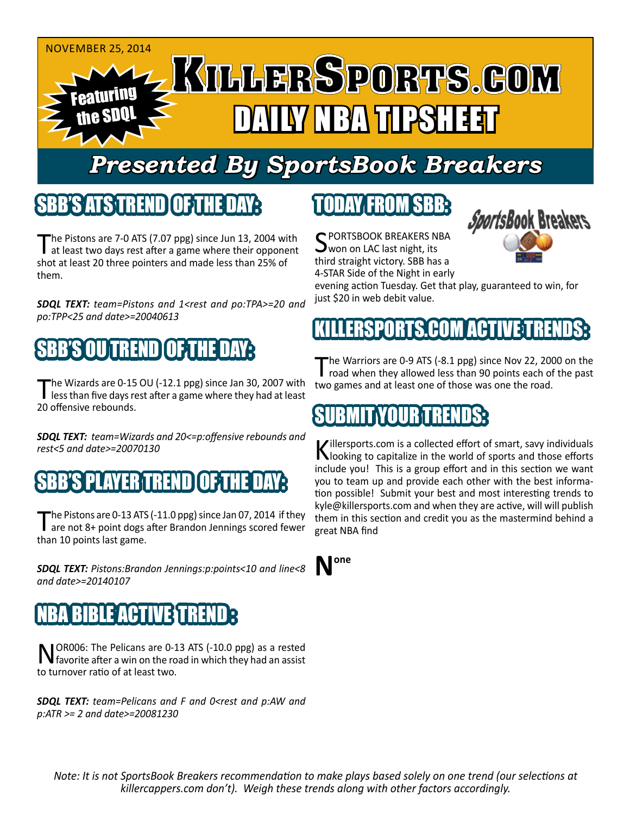

# *Presented By SportsBook Breakers*

#### SBB'S ATS TREN

The Pistons are 7-0 ATS (7.07 ppg) since Jun 13, 2004 with at least two days rest after a game where their opponent shot at least 20 three pointers and made less than 25% of them.

*SDQL TEXT: team=Pistons and 1<rest and po:TPA>=20 and po:TPP<25 and date>=20040613*

## SBB'S OU TREND OF THE DAY:

The Wizards are 0-15 OU (-12.1 ppg) since Jan 30, 2007 with<br>less than five days rest after a game where they had at least 20 offensive rebounds.

*SDQL TEXT: team=Wizards and 20<=p:offensive rebounds and rest<5 and date>=20070130*

#### B'S PLAYER TRENDIO FITH

The Pistons are 0-13 ATS (-11.0 ppg) since Jan 07, 2014 if they<br>are not 8+ point dogs after Brandon Jennings scored fewer than 10 points last game.

*SDQL TEXT: Pistons:Brandon Jennings:p:points<10 and line<8 and date>=20140107*

#### IBLE ACTIVE T

NOR006: The Pelicans are 0-13 ATS (-10.0 ppg) as a rested<br>
favorite after a win on the road in which they had an assist to turnover ratio of at least two.

*SDQL TEXT: team=Pelicans and F and 0<rest and p:AW and p:ATR >= 2 and date>=20081230*

# TODAY FROM SBB:

C PORTSBOOK BREAKERS NBA **J**won on LAC last night, its third straight victory. SBB has a 4-STAR Side of the Night in early



evening action Tuesday. Get that play, guaranteed to win, for just \$20 in web debit value.

## ERSPORTS.COM ACTIV

The Warriors are 0-9 ATS (-8.1 ppg) since Nov 22, 2000 on the road when they allowed less than 90 points each of the past two games and at least one of those was one the road.

#### SUBMIT YOUR TRENDS:

Killersports.com is a collected effort of smart, savy individuals<br>Nooking to capitalize in the world of sports and those efforts include you! This is a group effort and in this section we want you to team up and provide each other with the best information possible! Submit your best and most interesting trends to kyle@killersports.com and when they are active, will will publish them in this section and credit you as the mastermind behind a great NBA find

**None**